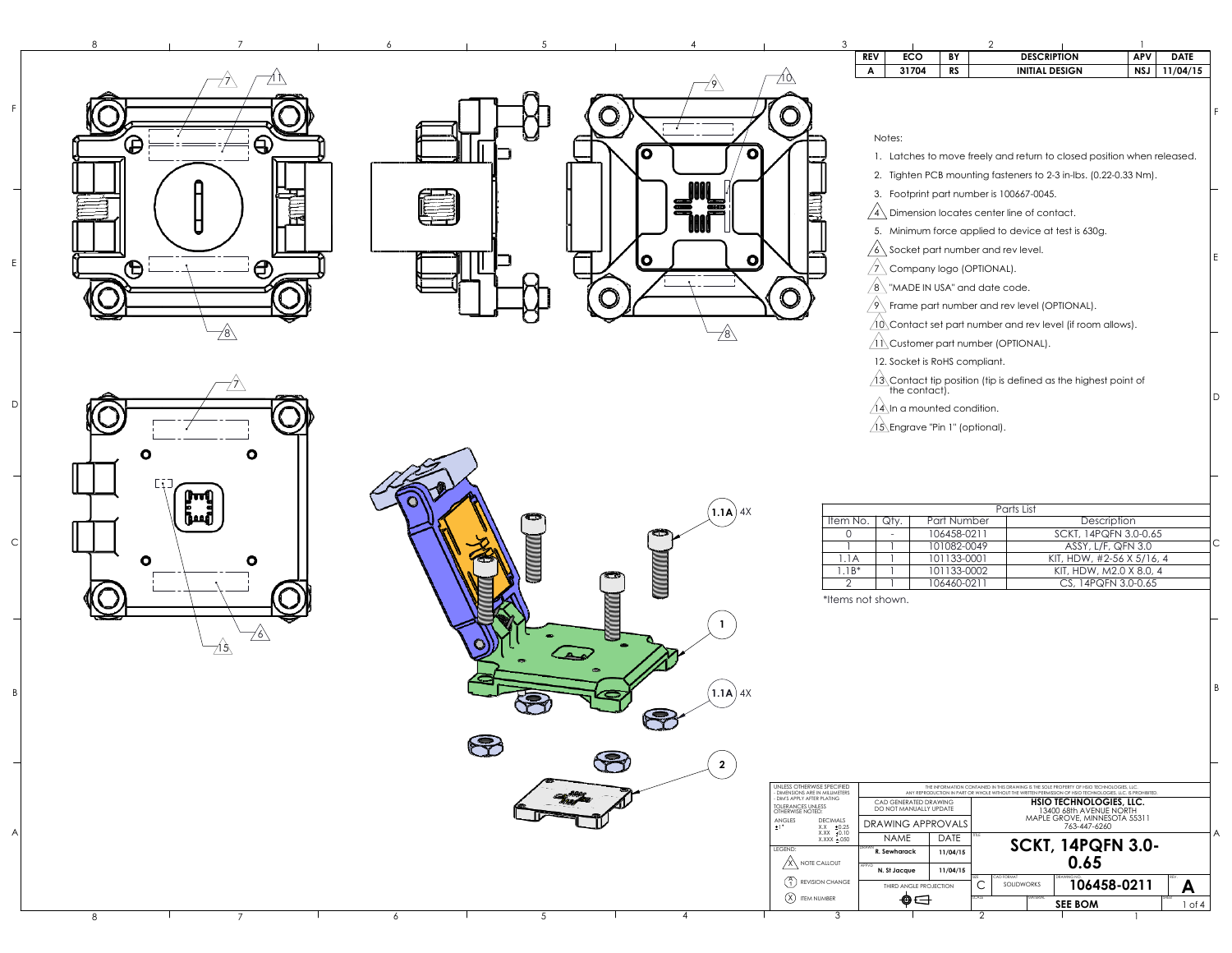**1**

**1.1A**)  $4X$ 

**1.1A** 4X









|                |                   |                                                 |                                                                             | F |
|----------------|-------------------|-------------------------------------------------|-----------------------------------------------------------------------------|---|
|                | Notes:            |                                                 |                                                                             |   |
|                |                   |                                                 | 1. Latches to move freely and return to closed position when released.      |   |
|                | 2.                |                                                 | Tighten PCB mounting fasteners to 2-3 in-lbs. (0.22-0.33 Nm).               |   |
|                |                   | 3. Footprint part number is 100667-0045.        |                                                                             |   |
|                |                   | Dimension locates center line of contact.       |                                                                             |   |
|                |                   |                                                 | 5. Minimum force applied to device at test is 630g.                         |   |
|                | $6^{\circ}$       | Socket part number and rev level.               |                                                                             |   |
|                |                   | Company logo (OPTIONAL).                        |                                                                             | E |
|                |                   | $8\backslash$ "MADE IN USA" and date code.      |                                                                             |   |
|                |                   | Frame part number and rev level (OPTIONAL).     |                                                                             |   |
|                |                   |                                                 | $10\backslash$ Contact set part number and rev level (if room allows).      |   |
|                |                   | $11\backslash$ Customer part number (OPTIONAL). |                                                                             |   |
|                |                   | 12. Socket is RoHS compliant.                   |                                                                             |   |
|                |                   |                                                 | $13\backslash$ Contact tip position (tip is defined as the highest point of |   |
|                |                   | the contact).                                   |                                                                             | D |
|                |                   | $14\backslash$ In a mounted condition.          |                                                                             |   |
|                |                   | $15$ Engrave "Pin 1" (optional).                |                                                                             |   |
|                |                   |                                                 |                                                                             |   |
|                |                   |                                                 |                                                                             |   |
|                |                   |                                                 |                                                                             |   |
|                |                   |                                                 | Parts List                                                                  |   |
| Item No.       | Qty.              | Part Number                                     | Description                                                                 |   |
| 0              |                   | 106458-0211                                     | SCKT, 14PQFN 3.0-0.65                                                       |   |
|                |                   | 101082-0049                                     | ASSY, L/F, QFN 3.0                                                          | С |
| 1.1A           |                   | 101133-0001                                     | KIT, HDW, #2-56 X 5/16, 4                                                   |   |
| $1.1B*$        |                   | 101133-0002                                     | KIT, HDW, M2.0 X 8.0, 4                                                     |   |
| $\overline{2}$ | 1                 | 106460-0211                                     | CS, 14PQFN 3.0-0.65                                                         |   |
|                | *Items not shown. |                                                 |                                                                             |   |
|                |                   |                                                 |                                                                             |   |
|                |                   |                                                 |                                                                             |   |
|                |                   |                                                 |                                                                             |   |
|                |                   |                                                 |                                                                             |   |
|                |                   |                                                 |                                                                             | B |

UNLESS OTHERWISE SPECIFIED - DIMENSIONS ARE IN MILLIMETERS - DIM'S APPLY AFTER PLATING THE INFORMATION CONTAINED IN THIS DRAWING IS THE SOLE PROPERTY OF HSIO TECHNOLOGIES, LLC. ANY REPRODUCTION IN PART OR WHOLE WITHOUT THE WRITTEN PERMISSION OF HSIO TECHNOLOGIES, LLC. IS PROHIBITED. **HSIO TECHNOLOGIES, LLC.** CAD GENERATED DRAWING TOLERANCES UNLESS OTHERWISE NOTED: DO NOT MANUALLY UPDATE 13400 68th AVENUE NORTH MAPLE GROVE, MINNESOTA 55311 DRAWING APPROVALS ANGLES DECIMALS 763-447-6260 1  $X.X = \pm 0.25$  $X.XX = 0.10$ NAME **BATE SCKT, 14PQFN 3.0-**TITLE X.XXX ±.050 LEGEND:  $\degree$ R. Sewharack **0.65**  $\overbrace{\text{X}}$  NOTE CALLOUT  $rac{X}{A_1}$  $\frac{A_2}{X}$ APPVD **N. St Jacque 11/04/15 FORMA 106458-0211**  $\binom{A}{1}$  REVISION CHANGE **A** C SOLIDWORKS THIRD ANGLE PROJECTION **ITEM NUMBER** ⊕⊖ SCALE MATERIAL **SEE BOM** 4 1 of

| <b>ECO</b><br><b>DESCRIPTION</b><br><b>REV</b><br>BY<br><b>APV</b><br>31704<br><b>RS</b><br><b>INITIAL DESIGN</b><br>A<br><b>NSJ</b> | <b>DATE</b> |
|--------------------------------------------------------------------------------------------------------------------------------------|-------------|
|                                                                                                                                      |             |
|                                                                                                                                      | 11/04/15    |
|                                                                                                                                      |             |
|                                                                                                                                      |             |
|                                                                                                                                      |             |
| Notes:                                                                                                                               |             |
| 1. Latches to move freely and return to closed position when released.                                                               |             |
| Tighten PCB mounting fasteners to 2-3 in-lbs. (0.22-0.33 Nm).<br>2.                                                                  |             |
| 3. Footprint part number is 100667-0045.                                                                                             |             |
| Dimension locates center line of contact.                                                                                            |             |
| Minimum force applied to device at test is 630g.<br>5.                                                                               |             |
| Socket part number and rev level.                                                                                                    |             |
| Company logo (OPTIONAL).                                                                                                             |             |
| "MADE IN USA" and date code.<br>$\sqrt[2]{8}$                                                                                        |             |
| Frame part number and rev level (OPTIONAL).<br>$\mathcal{S}_{\lambda}$                                                               |             |
| $\sqrt{10}$ Contact set part number and rev level (if room allows).                                                                  |             |
| $1\setminus$ Customer part number (OPTIONAL).                                                                                        |             |
| 12. Socket is RoHS compliant.                                                                                                        |             |
|                                                                                                                                      |             |
| $\frac{13}{2}$ Contact tip position (tip is defined as the highest point of the contact).                                            |             |
| $14$ \In a mounted condition.                                                                                                        |             |
| $\sqrt{15}$ Engrave "Pin 1" (optional).                                                                                              |             |
|                                                                                                                                      |             |





FEDCBA

 $\vert$  C

 $\overline{B}$ 

 $\overline{A}$ 

 $D$ 

 $\mathsf{F}$ 

6

 $E$ 

5

4

2

1

3

8



7

A

 $\vert$  B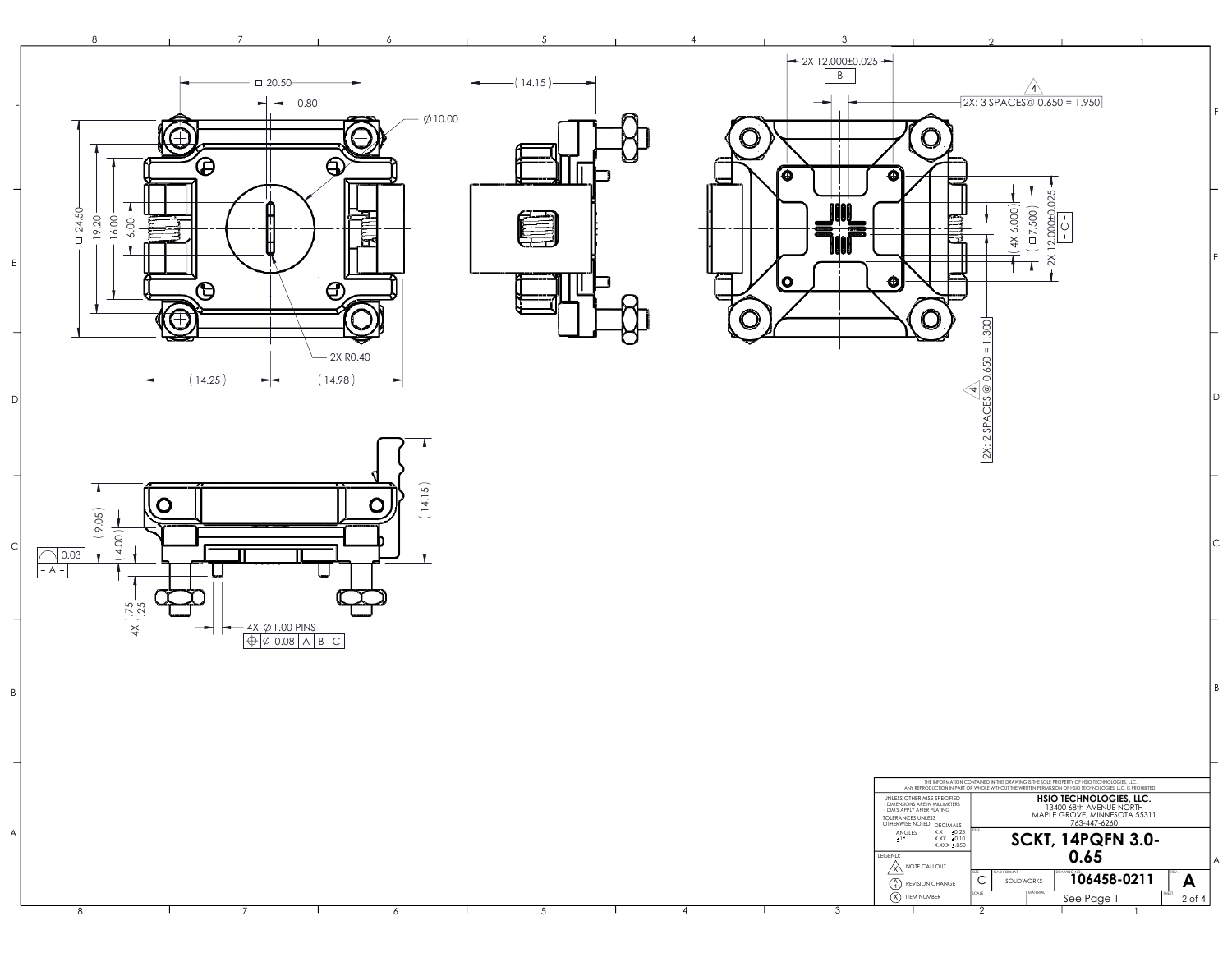



7



6

5

4

8

 $B$ 

 $\overline{A}$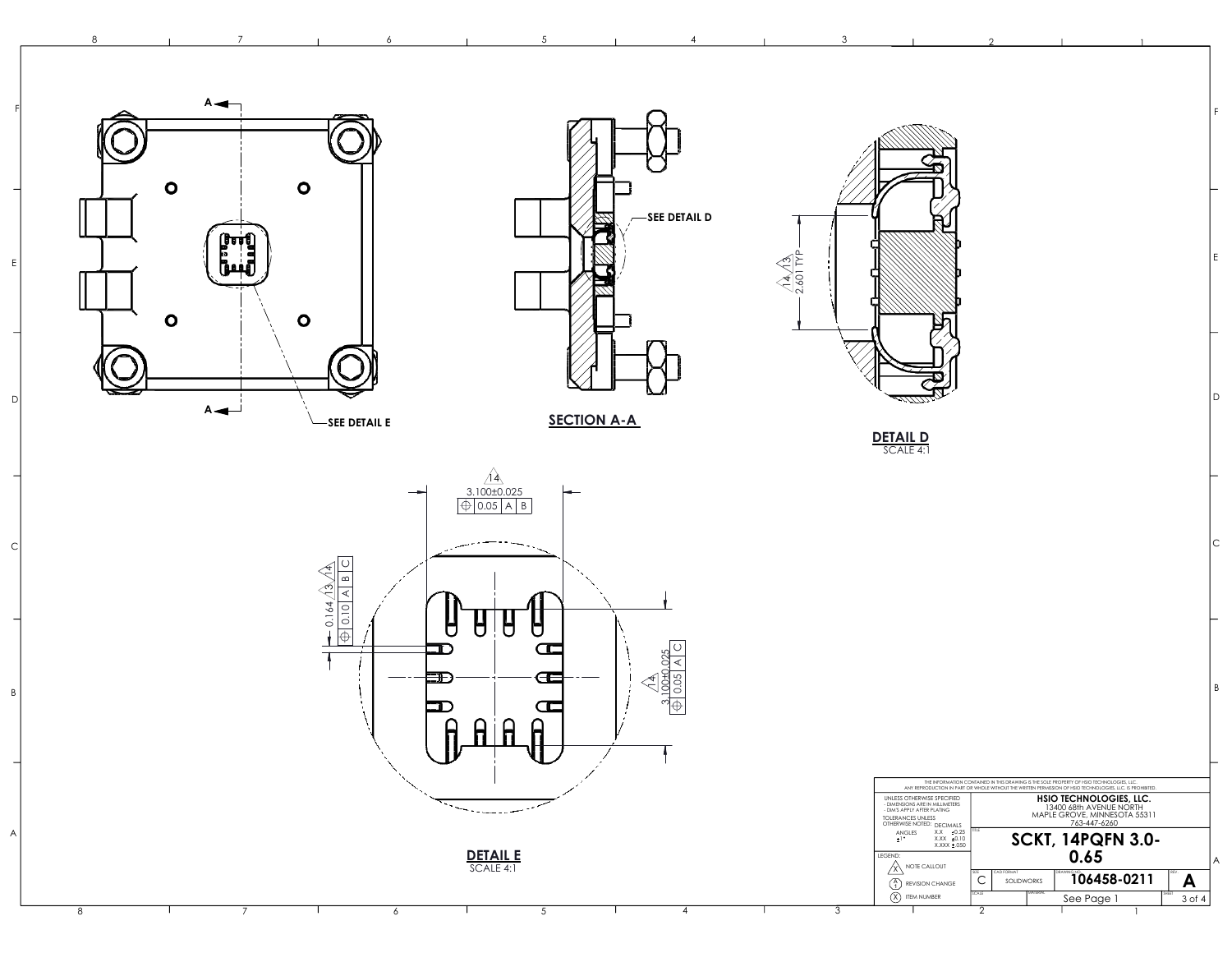